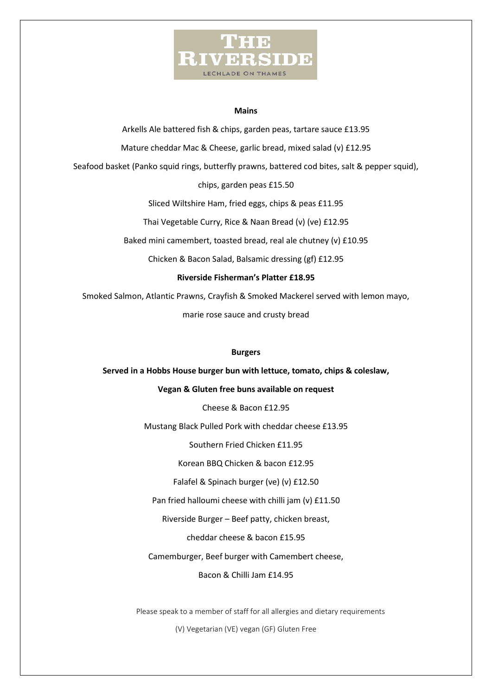

#### **Mains**

Arkells Ale battered fish & chips, garden peas, tartare sauce £13.95

Mature cheddar Mac & Cheese, garlic bread, mixed salad (v) £12.95 Seafood basket (Panko squid rings, butterfly prawns, battered cod bites, salt & pepper squid), chips, garden peas £15.50 Sliced Wiltshire Ham, fried eggs, chips & peas £11.95 Thai Vegetable Curry, Rice & Naan Bread (v) (ve) £12.95 Baked mini camembert, toasted bread, real ale chutney (v) £10.95 Chicken & Bacon Salad, Balsamic dressing (gf) £12.95 **Riverside Fisherman's Platter £18.95**  Smoked Salmon, Atlantic Prawns, Crayfish & Smoked Mackerel served with lemon mayo, marie rose sauce and crusty bread

### **Burgers**

### **Served in a Hobbs House burger bun with lettuce, tomato, chips & coleslaw,**

### **Vegan & Gluten free buns available on request**

Cheese & Bacon £12.95

Mustang Black Pulled Pork with cheddar cheese £13.95

Southern Fried Chicken £11.95

Korean BBQ Chicken & bacon £12.95

Falafel & Spinach burger (ve) (v) £12.50

Pan fried halloumi cheese with chilli jam (v) £11.50

Riverside Burger – Beef patty, chicken breast,

cheddar cheese & bacon £15.95

Camemburger, Beef burger with Camembert cheese,

Bacon & Chilli Jam £14.95

Please speak to a member of staff for all allergies and dietary requirements

(V) Vegetarian (VE) vegan (GF) Gluten Free